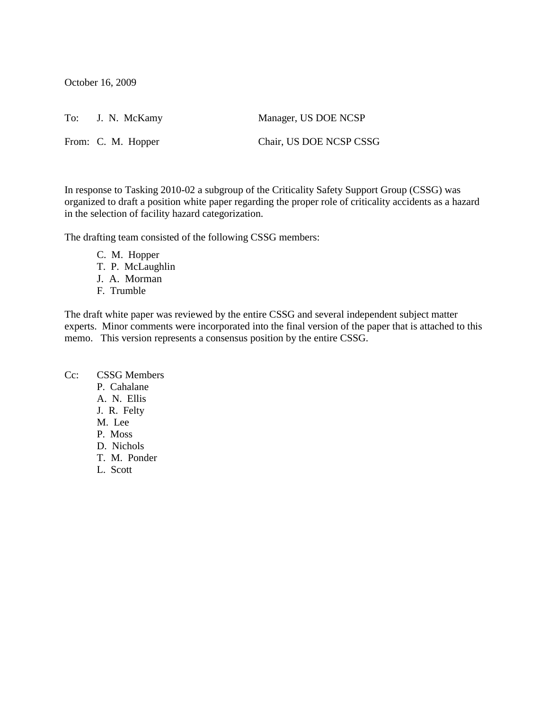October 16, 2009

To: J. N. McKamy Manager, US DOE NCSP

From: C. M. Hopper Chair, US DOE NCSP CSSG

In response to Tasking 2010-02 a subgroup of the Criticality Safety Support Group (CSSG) was organized to draft a position white paper regarding the proper role of criticality accidents as a hazard in the selection of facility hazard categorization.

The drafting team consisted of the following CSSG members:

- C. M. Hopper
- T. P. McLaughlin
- J. A. Morman
- F. Trumble

The draft white paper was reviewed by the entire CSSG and several independent subject matter experts. Minor comments were incorporated into the final version of the paper that is attached to this memo. This version represents a consensus position by the entire CSSG.

#### Cc: CSSG Members P. Cahalane A. N. Ellis J. R. Felty M. Lee P. Moss D. Nichols T. M. Ponder L. Scott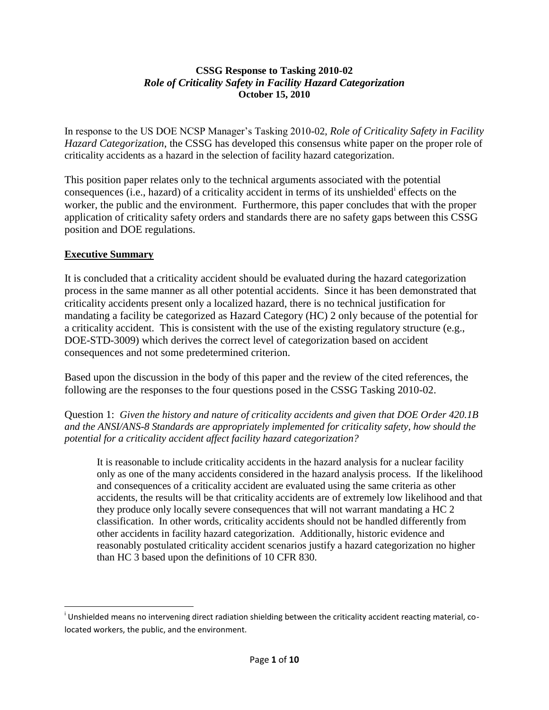## **CSSG Response to Tasking 2010-02** *Role of Criticality Safety in Facility Hazard Categorization* **October 15, 2010**

In response to the US DOE NCSP Manager's Tasking 2010-02, *Role of Criticality Safety in Facility Hazard Categorization*, the CSSG has developed this consensus white paper on the proper role of criticality accidents as a hazard in the selection of facility hazard categorization.

This position paper relates only to the technical arguments associated with the potential consequences (i.e., hazard) of a criticality accident in terms of its unshielded<sup>i</sup> effects on the worker, the public and the environment. Furthermore, this paper concludes that with the proper application of criticality safety orders and standards there are no safety gaps between this CSSG position and DOE regulations.

# **Executive Summary**

 $\overline{\phantom{a}}$ 

It is concluded that a criticality accident should be evaluated during the hazard categorization process in the same manner as all other potential accidents. Since it has been demonstrated that criticality accidents present only a localized hazard, there is no technical justification for mandating a facility be categorized as Hazard Category (HC) 2 only because of the potential for a criticality accident. This is consistent with the use of the existing regulatory structure (e.g., DOE-STD-3009) which derives the correct level of categorization based on accident consequences and not some predetermined criterion.

Based upon the discussion in the body of this paper and the review of the cited references, the following are the responses to the four questions posed in the CSSG Tasking 2010-02.

Question 1: *Given the history and nature of criticality accidents and given that DOE Order 420.1B and the ANSI/ANS-8 Standards are appropriately implemented for criticality safety, how should the potential for a criticality accident affect facility hazard categorization?*

It is reasonable to include criticality accidents in the hazard analysis for a nuclear facility only as one of the many accidents considered in the hazard analysis process. If the likelihood and consequences of a criticality accident are evaluated using the same criteria as other accidents, the results will be that criticality accidents are of extremely low likelihood and that they produce only locally severe consequences that will not warrant mandating a HC 2 classification. In other words, criticality accidents should not be handled differently from other accidents in facility hazard categorization. Additionally, historic evidence and reasonably postulated criticality accident scenarios justify a hazard categorization no higher than HC 3 based upon the definitions of 10 CFR 830.

i Unshielded means no intervening direct radiation shielding between the criticality accident reacting material, colocated workers, the public, and the environment.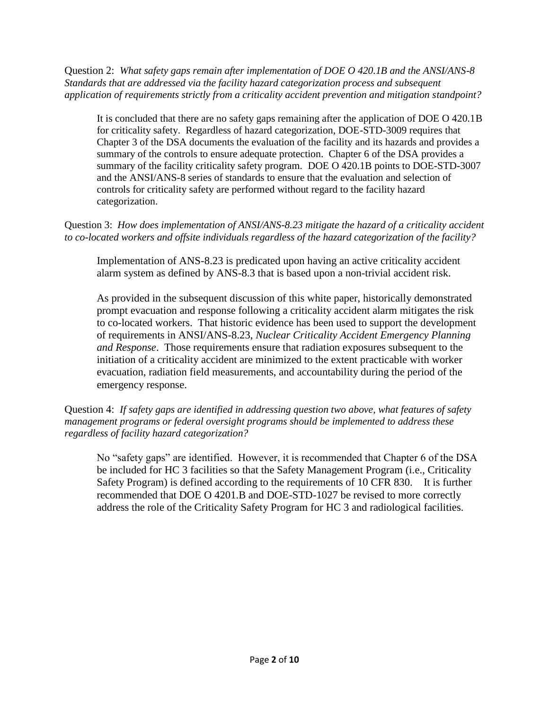Question 2: *What safety gaps remain after implementation of DOE O 420.1B and the ANSI/ANS-8 Standards that are addressed via the facility hazard categorization process and subsequent application of requirements strictly from a criticality accident prevention and mitigation standpoint?*

It is concluded that there are no safety gaps remaining after the application of DOE O 420.1B for criticality safety. Regardless of hazard categorization, DOE-STD-3009 requires that Chapter 3 of the DSA documents the evaluation of the facility and its hazards and provides a summary of the controls to ensure adequate protection. Chapter 6 of the DSA provides a summary of the facility criticality safety program. DOE O 420.1B points to DOE-STD-3007 and the ANSI/ANS-8 series of standards to ensure that the evaluation and selection of controls for criticality safety are performed without regard to the facility hazard categorization.

Question 3: *How does implementation of ANSI/ANS-8.23 mitigate the hazard of a criticality accident to co-located workers and offsite individuals regardless of the hazard categorization of the facility?*

Implementation of ANS-8.23 is predicated upon having an active criticality accident alarm system as defined by ANS-8.3 that is based upon a non-trivial accident risk.

As provided in the subsequent discussion of this white paper, historically demonstrated prompt evacuation and response following a criticality accident alarm mitigates the risk to co-located workers. That historic evidence has been used to support the development of requirements in ANSI/ANS-8.23, *Nuclear Criticality Accident Emergency Planning and Response*. Those requirements ensure that radiation exposures subsequent to the initiation of a criticality accident are minimized to the extent practicable with worker evacuation, radiation field measurements, and accountability during the period of the emergency response.

Question 4: *If safety gaps are identified in addressing question two above, what features of safety management programs or federal oversight programs should be implemented to address these regardless of facility hazard categorization?*

No "safety gaps" are identified. However, it is recommended that Chapter 6 of the DSA be included for HC 3 facilities so that the Safety Management Program (i.e., Criticality Safety Program) is defined according to the requirements of 10 CFR 830. It is further recommended that DOE O 4201.B and DOE-STD-1027 be revised to more correctly address the role of the Criticality Safety Program for HC 3 and radiological facilities.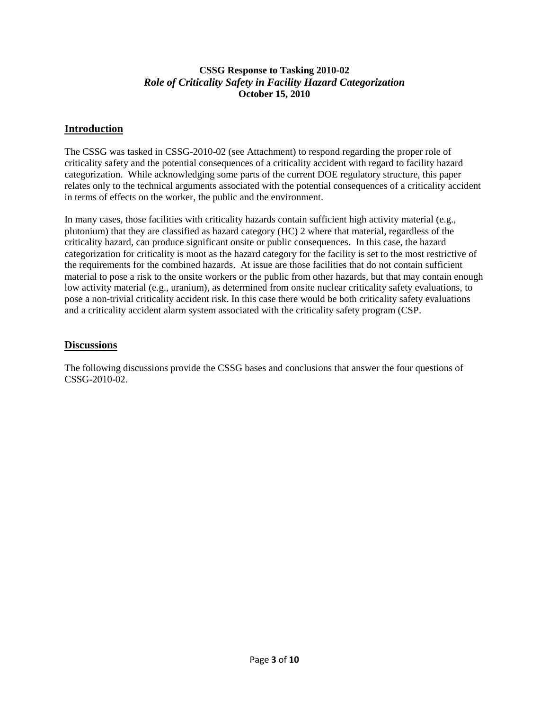#### **CSSG Response to Tasking 2010-02** *Role of Criticality Safety in Facility Hazard Categorization* **October 15, 2010**

#### **Introduction**

The CSSG was tasked in CSSG-2010-02 (see Attachment) to respond regarding the proper role of criticality safety and the potential consequences of a criticality accident with regard to facility hazard categorization. While acknowledging some parts of the current DOE regulatory structure, this paper relates only to the technical arguments associated with the potential consequences of a criticality accident in terms of effects on the worker, the public and the environment.

In many cases, those facilities with criticality hazards contain sufficient high activity material (e.g., plutonium) that they are classified as hazard category (HC) 2 where that material, regardless of the criticality hazard, can produce significant onsite or public consequences. In this case, the hazard categorization for criticality is moot as the hazard category for the facility is set to the most restrictive of the requirements for the combined hazards. At issue are those facilities that do not contain sufficient material to pose a risk to the onsite workers or the public from other hazards, but that may contain enough low activity material (e.g., uranium), as determined from onsite nuclear criticality safety evaluations, to pose a non-trivial criticality accident risk. In this case there would be both criticality safety evaluations and a criticality accident alarm system associated with the criticality safety program (CSP.

#### **Discussions**

The following discussions provide the CSSG bases and conclusions that answer the four questions of CSSG-2010-02.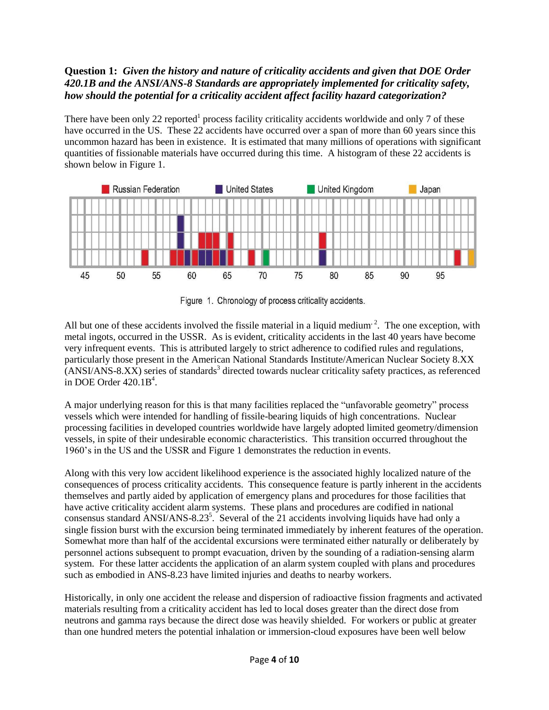# **Question 1:** *Given the history and nature of criticality accidents and given that DOE Order 420.1B and the ANSI/ANS-8 Standards are appropriately implemented for criticality safety, how should the potential for a criticality accident affect facility hazard categorization?*

<span id="page-4-0"></span>There have been only 22 reported<sup>1</sup> process facility criticality accidents worldwide and only 7 of these have occurred in the US. These 22 accidents have occurred over a span of more than 60 years since this uncommon hazard has been in existence. It is estimated that many millions of operations with significant quantities of fissionable materials have occurred during this time. A histogram of these 22 accidents is shown below in Figure 1.



<span id="page-4-2"></span><span id="page-4-1"></span>Figure 1. Chronology of process criticality accidents.

All but one of these accidents involved the fissile material in a liquid medium<sup> $2$ </sup>. The one exception, with metal ingots, occurred in the USSR. As is evident, criticality accidents in the last 40 years have become very infrequent events. This is attributed largely to strict adherence to codified rules and regulations, particularly those present in the American National Standards Institute/American Nuclear Society 8.XX  $(ANSI/ANS-8.XX)$  series of standards<sup>3</sup> directed towards nuclear criticality safety practices, as referenced in DOE Order  $420.1B<sup>4</sup>$ .

A major underlying reason for this is that many facilities replaced the "unfavorable geometry" process vessels which were intended for handling of fissile-bearing liquids of high concentrations. Nuclear processing facilities in developed countries worldwide have largely adopted limited geometry/dimension vessels, in spite of their undesirable economic characteristics. This transition occurred throughout the 1960's in the US and the USSR and Figure 1 demonstrates the reduction in events.

Along with this very low accident likelihood experience is the associated highly localized nature of the consequences of process criticality accidents. This consequence feature is partly inherent in the accidents themselves and partly aided by application of emergency plans and procedures for those facilities that have active criticality accident alarm systems. These plans and procedures are codified in national consensus standard ANSI/ANS-8.23<sup>5</sup>. Several of the 21 accidents involving liquids have had only a single fission burst with the excursion being terminated immediately by inherent features of the operation. Somewhat more than half of the accidental excursions were terminated either naturally or deliberately by personnel actions subsequent to prompt evacuation, driven by the sounding of a radiation-sensing alarm system. For these latter accidents the application of an alarm system coupled with plans and procedures such as embodied in ANS-8.23 have limited injuries and deaths to nearby workers.

Historically, in only one accident the release and dispersion of radioactive fission fragments and activated materials resulting from a criticality accident has led to local doses greater than the direct dose from neutrons and gamma rays because the direct dose was heavily shielded. For workers or public at greater than one hundred meters the potential inhalation or immersion-cloud exposures have been well below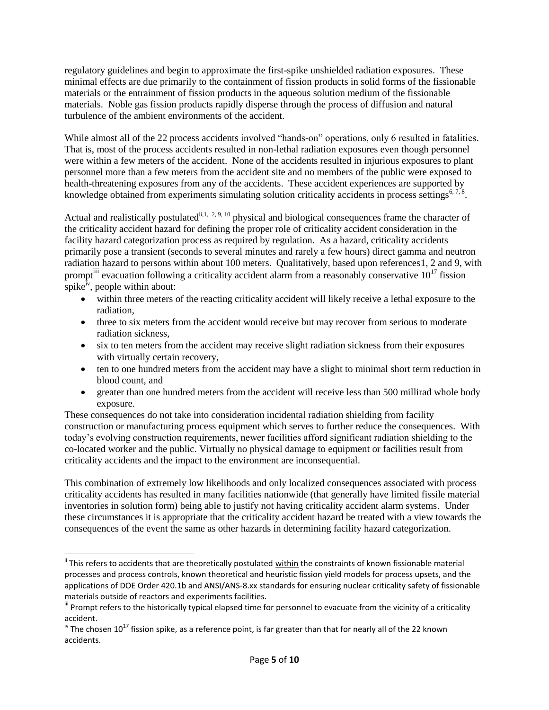regulatory guidelines and begin to approximate the first-spike unshielded radiation exposures. These minimal effects are due primarily to the containment of fission products in solid forms of the fissionable materials or the entrainment of fission products in the aqueous solution medium of the fissionable materials. Noble gas fission products rapidly disperse through the process of diffusion and natural turbulence of the ambient environments of the accident.

While almost all of the 22 process accidents involved "hands-on" operations, only 6 resulted in fatalities. That is, most of the process accidents resulted in non-lethal radiation exposures even though personnel were within a few meters of the accident. None of the accidents resulted in injurious exposures to plant personnel more than a few meters from the accident site and no members of the public were exposed to health-threatening exposures from any of the accidents. These accident experiences are supported by knowledge obtained from experiments simulating solution criticality accidents in process settings<sup>6, 7, 8</sup>.

<span id="page-5-0"></span>Actual and realistically postulated<sup>ii, 1, [2,](#page-4-1) 9, 10</sup> physical and biological consequences frame the character of the criticality accident hazard for defining the proper role of criticality accident consideration in the facility hazard categorization process as required by regulation. As a hazard, criticality accidents primarily pose a transient (seconds to several minutes and rarely a few hours) direct gamma and neutron radiation hazard to persons within about 100 meters. Qualitatively, based upon reference[s1,](#page-4-0) [2](#page-4-2) and [9,](#page-5-0) with prompt<sup>iii</sup> evacuation following a criticality accident alarm from a reasonably conservative  $10^{17}$  fission spike<sup>iv</sup>, people within about:

- <span id="page-5-3"></span><span id="page-5-2"></span><span id="page-5-1"></span> within three meters of the reacting criticality accident will likely receive a lethal exposure to the radiation,
- three to six meters from the accident would receive but may recover from serious to moderate radiation sickness,
- six to ten meters from the accident may receive slight radiation sickness from their exposures with virtually certain recovery,
- ten to one hundred meters from the accident may have a slight to minimal short term reduction in blood count, and
- greater than one hundred meters from the accident will receive less than 500 millirad whole body exposure.

These consequences do not take into consideration incidental radiation shielding from facility construction or manufacturing process equipment which serves to further reduce the consequences. With today's evolving construction requirements, newer facilities afford significant radiation shielding to the co-located worker and the public. Virtually no physical damage to equipment or facilities result from criticality accidents and the impact to the environment are inconsequential.

This combination of extremely low likelihoods and only localized consequences associated with process criticality accidents has resulted in many facilities nationwide (that generally have limited fissile material inventories in solution form) being able to justify not having criticality accident alarm systems. Under these circumstances it is appropriate that the criticality accident hazard be treated with a view towards the consequences of the event the same as other hazards in determining facility hazard categorization.

 $\overline{\phantom{a}}$ 

<sup>&</sup>lt;sup>ii</sup> This refers to accidents that are theoretically postulated within the constraints of known fissionable material processes and process controls, known theoretical and heuristic fission yield models for process upsets, and the applications of DOE Order 420.1b and ANSI/ANS-8.xx standards for ensuring nuclear criticality safety of fissionable materials outside of reactors and experiments facilities.

III Prompt refers to the historically typical elapsed time for personnel to evacuate from the vicinity of a criticality accident.

 $\mu$ <sup>t</sup> The chosen 10<sup>17</sup> fission spike, as a reference point, is far greater than that for nearly all of the 22 known accidents.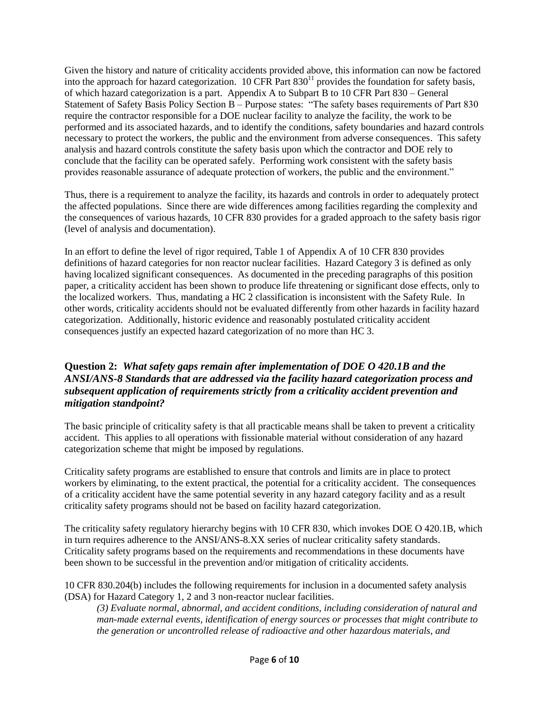Given the history and nature of criticality accidents provided above, this information can now be factored into the approach for hazard categorization.  $10 \text{ CFR}$  Part  $830^{11}$  provides the foundation for safety basis, of which hazard categorization is a part. Appendix A to Subpart B to 10 CFR Part 830 – General Statement of Safety Basis Policy Section B – Purpose states: "The safety bases requirements of Part 830 require the contractor responsible for a DOE nuclear facility to analyze the facility, the work to be performed and its associated hazards, and to identify the conditions, safety boundaries and hazard controls necessary to protect the workers, the public and the environment from adverse consequences. This safety analysis and hazard controls constitute the safety basis upon which the contractor and DOE rely to conclude that the facility can be operated safely. Performing work consistent with the safety basis provides reasonable assurance of adequate protection of workers, the public and the environment."

Thus, there is a requirement to analyze the facility, its hazards and controls in order to adequately protect the affected populations. Since there are wide differences among facilities regarding the complexity and the consequences of various hazards, 10 CFR 830 provides for a graded approach to the safety basis rigor (level of analysis and documentation).

In an effort to define the level of rigor required, Table 1 of Appendix A of 10 CFR 830 provides definitions of hazard categories for non reactor nuclear facilities. Hazard Category 3 is defined as only having localized significant consequences. As documented in the preceding paragraphs of this position paper, a criticality accident has been shown to produce life threatening or significant dose effects, only to the localized workers. Thus, mandating a HC 2 classification is inconsistent with the Safety Rule. In other words, criticality accidents should not be evaluated differently from other hazards in facility hazard categorization. Additionally, historic evidence and reasonably postulated criticality accident consequences justify an expected hazard categorization of no more than HC 3.

# **Question 2:** *What safety gaps remain after implementation of DOE O 420.1B and the ANSI/ANS-8 Standards that are addressed via the facility hazard categorization process and subsequent application of requirements strictly from a criticality accident prevention and mitigation standpoint?*

The basic principle of criticality safety is that all practicable means shall be taken to prevent a criticality accident. This applies to all operations with fissionable material without consideration of any hazard categorization scheme that might be imposed by regulations.

Criticality safety programs are established to ensure that controls and limits are in place to protect workers by eliminating, to the extent practical, the potential for a criticality accident. The consequences of a criticality accident have the same potential severity in any hazard category facility and as a result criticality safety programs should not be based on facility hazard categorization.

The criticality safety regulatory hierarchy begins with 10 CFR 830, which invokes DOE O 420.1B, which in turn requires adherence to the ANSI/ANS-8.XX series of nuclear criticality safety standards. Criticality safety programs based on the requirements and recommendations in these documents have been shown to be successful in the prevention and/or mitigation of criticality accidents.

10 CFR 830.204(b) includes the following requirements for inclusion in a documented safety analysis (DSA) for Hazard Category 1, 2 and 3 non-reactor nuclear facilities.

*(3) Evaluate normal, abnormal, and accident conditions, including consideration of natural and man-made external events, identification of energy sources or processes that might contribute to the generation or uncontrolled release of radioactive and other hazardous materials, and*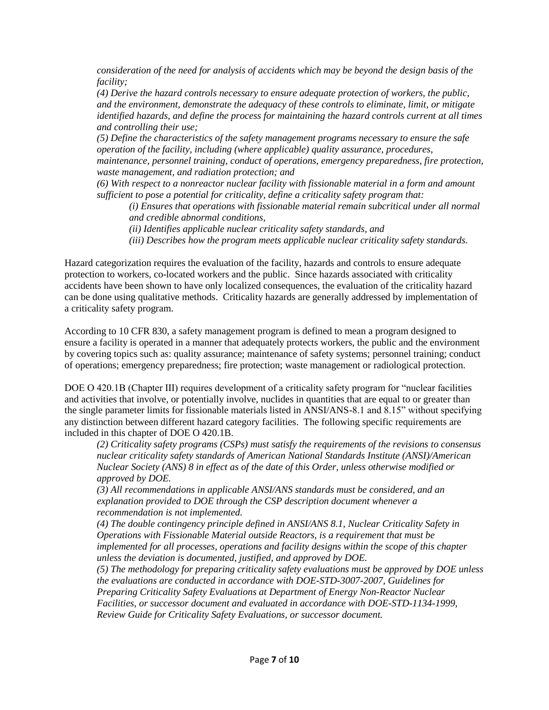*consideration of the need for analysis of accidents which may be beyond the design basis of the facility;*

*(4) Derive the hazard controls necessary to ensure adequate protection of workers, the public, and the environment, demonstrate the adequacy of these controls to eliminate, limit, or mitigate identified hazards, and define the process for maintaining the hazard controls current at all times and controlling their use;*

*(5) Define the characteristics of the safety management programs necessary to ensure the safe operation of the facility, including (where applicable) quality assurance, procedures, maintenance, personnel training, conduct of operations, emergency preparedness, fire protection,* 

*waste management, and radiation protection; and*

*(6) With respect to a nonreactor nuclear facility with fissionable material in a form and amount sufficient to pose a potential for criticality, define a criticality safety program that:*

*(i) Ensures that operations with fissionable material remain subcritical under all normal and credible abnormal conditions,*

*(ii) Identifies applicable nuclear criticality safety standards, and* 

*(iii) Describes how the program meets applicable nuclear criticality safety standards.*

Hazard categorization requires the evaluation of the facility, hazards and controls to ensure adequate protection to workers, co-located workers and the public. Since hazards associated with criticality accidents have been shown to have only localized consequences, the evaluation of the criticality hazard can be done using qualitative methods. Criticality hazards are generally addressed by implementation of a criticality safety program.

According to 10 CFR 830, a safety management program is defined to mean a program designed to ensure a facility is operated in a manner that adequately protects workers, the public and the environment by covering topics such as: quality assurance; maintenance of safety systems; personnel training; conduct of operations; emergency preparedness; fire protection; waste management or radiological protection.

DOE O 420.1B (Chapter III) requires development of a criticality safety program for "nuclear facilities and activities that involve, or potentially involve, nuclides in quantities that are equal to or greater than the single parameter limits for fissionable materials listed in ANSI/ANS-8.1 and 8.15" without specifying any distinction between different hazard category facilities. The following specific requirements are included in this chapter of DOE O 420.1B.

*(2) Criticality safety programs (CSPs) must satisfy the requirements of the revisions to consensus nuclear criticality safety standards of American National Standards Institute (ANSI)/American Nuclear Society (ANS) 8 in effect as of the date of this Order, unless otherwise modified or approved by DOE.*

*(3) All recommendations in applicable ANSI/ANS standards must be considered, and an explanation provided to DOE through the CSP description document whenever a recommendation is not implemented.*

*(4) The double contingency principle defined in ANSI/ANS 8.1, Nuclear Criticality Safety in Operations with Fissionable Material outside Reactors, is a requirement that must be implemented for all processes, operations and facility designs within the scope of this chapter unless the deviation is documented, justified, and approved by DOE.*

*(5) The methodology for preparing criticality safety evaluations must be approved by DOE unless the evaluations are conducted in accordance with DOE-STD-3007-2007, Guidelines for Preparing Criticality Safety Evaluations at Department of Energy Non-Reactor Nuclear Facilities, or successor document and evaluated in accordance with DOE-STD-1134-1999, Review Guide for Criticality Safety Evaluations, or successor document.*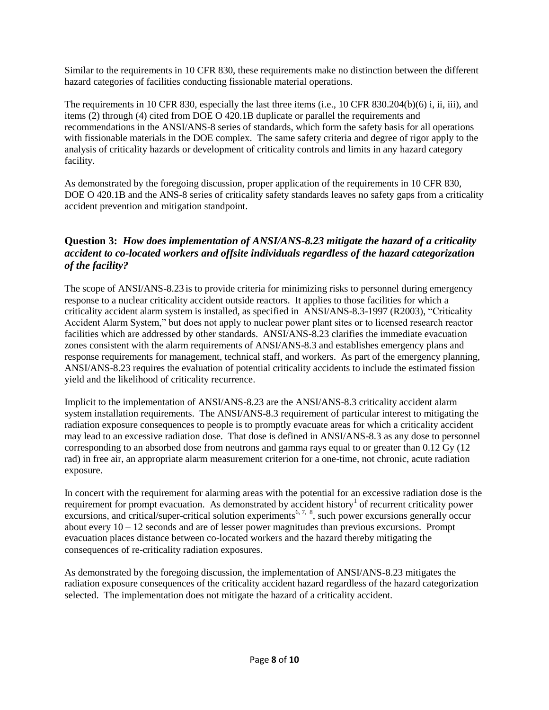Similar to the requirements in 10 CFR 830, these requirements make no distinction between the different hazard categories of facilities conducting fissionable material operations.

The requirements in 10 CFR 830, especially the last three items (i.e., 10 CFR 830.204(b)(6) i, ii, iii), and items (2) through (4) cited from DOE O 420.1B duplicate or parallel the requirements and recommendations in the ANSI/ANS-8 series of standards, which form the safety basis for all operations with fissionable materials in the DOE complex. The same safety criteria and degree of rigor apply to the analysis of criticality hazards or development of criticality controls and limits in any hazard category facility.

As demonstrated by the foregoing discussion, proper application of the requirements in 10 CFR 830, DOE O 420.1B and the ANS-8 series of criticality safety standards leaves no safety gaps from a criticality accident prevention and mitigation standpoint.

# **Question 3:** *How does implementation of ANSI/ANS-8.23 mitigate the hazard of a criticality accident to co-located workers and offsite individuals regardless of the hazard categorization of the facility?*

The scope of ANSI/ANS-8.23 is to provide criteria for minimizing risks to personnel during emergency response to a nuclear criticality accident outside reactors. It applies to those facilities for which a criticality accident alarm system is installed, as specified in ANSI/ANS-8.3-1997 (R2003), "Criticality Accident Alarm System," but does not apply to nuclear power plant sites or to licensed research reactor facilities which are addressed by other standards. ANSI/ANS-8.23 clarifies the immediate evacuation zones consistent with the alarm requirements of ANSI/ANS-8.3 and establishes emergency plans and response requirements for management, technical staff, and workers. As part of the emergency planning, ANSI/ANS-8.23 requires the evaluation of potential criticality accidents to include the estimated fission yield and the likelihood of criticality recurrence.

Implicit to the implementation of ANSI/ANS-8.23 are the ANSI/ANS-8.3 criticality accident alarm system installation requirements. The ANSI/ANS-8.3 requirement of particular interest to mitigating the radiation exposure consequences to people is to promptly evacuate areas for which a criticality accident may lead to an excessive radiation dose. That dose is defined in ANSI/ANS-8.3 as any dose to personnel corresponding to an absorbed dose from neutrons and gamma rays equal to or greater than 0.12 Gy (12 rad) in free air, an appropriate alarm measurement criterion for a one-time, not chronic, acute radiation exposure.

In concert with the requirement for alarming areas with the potential for an excessive radiation dose is the requirement for prompt evacuation. As demonstrated b[y](#page-4-0) accident history<sup>1</sup> of recurrent criticality power excursions, and critical/super-critical solution experiments<sup>[6,](#page-5-1) [7,](#page-5-2) [8](#page-5-3)</sup>, such power excursions generally occur about every 10 – 12 seconds and are of lesser power magnitudes than previous excursions. Prompt evacuation places distance between co-located workers and the hazard thereby mitigating the consequences of re-criticality radiation exposures.

As demonstrated by the foregoing discussion, the implementation of ANSI/ANS-8.23 mitigates the radiation exposure consequences of the criticality accident hazard regardless of the hazard categorization selected. The implementation does not mitigate the hazard of a criticality accident.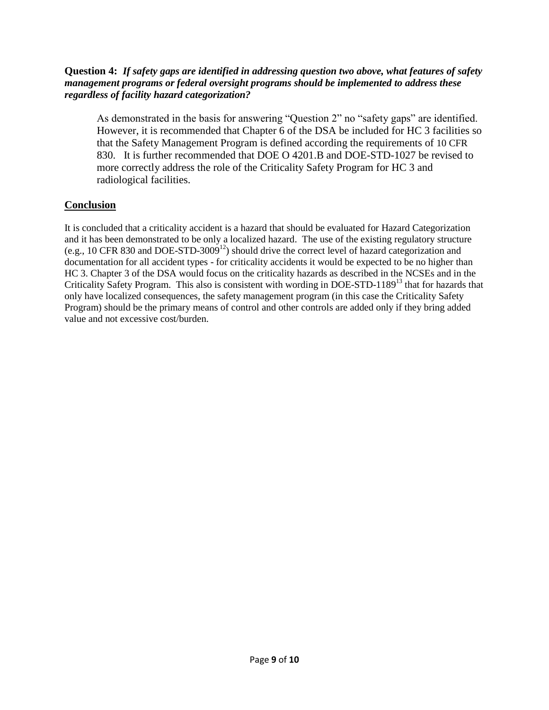#### **Question 4:** *If safety gaps are identified in addressing question two above, what features of safety management programs or federal oversight programs should be implemented to address these regardless of facility hazard categorization?*

As demonstrated in the basis for answering "Question 2" no "safety gaps" are identified. However, it is recommended that Chapter 6 of the DSA be included for HC 3 facilities so that the Safety Management Program is defined according the requirements of 10 CFR 830. It is further recommended that DOE O 4201.B and DOE-STD-1027 be revised to more correctly address the role of the Criticality Safety Program for HC 3 and radiological facilities.

# **Conclusion**

It is concluded that a criticality accident is a hazard that should be evaluated for Hazard Categorization and it has been demonstrated to be only a localized hazard. The use of the existing regulatory structure (e.g., 10 CFR 830 and DOE-STD-3009<sup>12</sup>) should drive the correct level of hazard categorization and documentation for all accident types - for criticality accidents it would be expected to be no higher than HC 3. Chapter 3 of the DSA would focus on the criticality hazards as described in the NCSEs and in the Criticality Safety Program. This also is consistent with wording in DOE-STD-1189<sup>13</sup> that for hazards that only have localized consequences, the safety management program (in this case the Criticality Safety Program) should be the primary means of control and other controls are added only if they bring added value and not excessive cost/burden.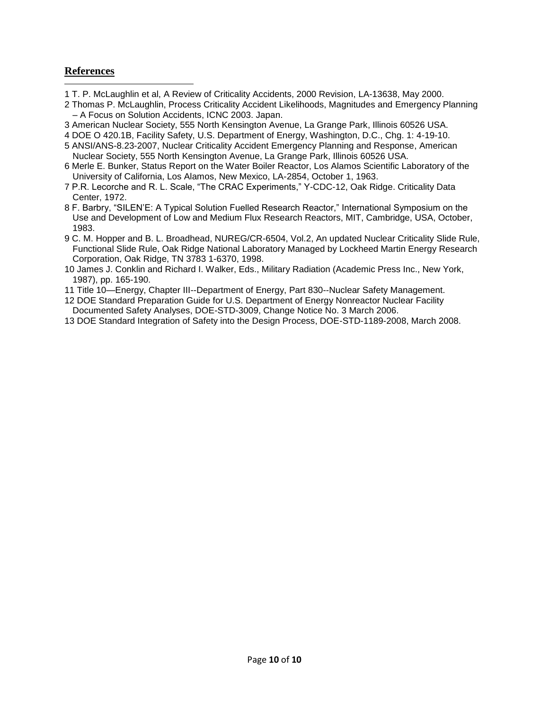## **References**

 $\overline{\phantom{a}}$ 

- 1 T. P. McLaughlin et al, A Review of Criticality Accidents, 2000 Revision, LA-13638, May 2000.
- 2 Thomas P. McLaughlin, Process Criticality Accident Likelihoods, Magnitudes and Emergency Planning – A Focus on Solution Accidents, ICNC 2003. Japan.
- 3 American Nuclear Society, 555 North Kensington Avenue, La Grange Park, Illinois 60526 USA.
- 4 DOE O 420.1B, Facility Safety, U.S. Department of Energy, Washington, D.C., Chg. 1: 4-19-10.
- 5 ANSI/ANS-8.23-2007, Nuclear Criticality Accident Emergency Planning and Response, American Nuclear Society, 555 North Kensington Avenue, La Grange Park, Illinois 60526 USA.
- 6 Merle E. Bunker, Status Report on the Water Boiler Reactor, Los Alamos Scientific Laboratory of the University of California, Los Alamos, New Mexico, LA-2854, October 1, 1963.
- 7 P.R. Lecorche and R. L. Scale, "The CRAC Experiments," Y-CDC-12, Oak Ridge. Criticality Data Center, 1972.
- 8 F. Barbry, "SILEN'E: A Typical Solution Fuelled Research Reactor," International Symposium on the Use and Development of Low and Medium Flux Research Reactors, MIT, Cambridge, USA, October, 1983.
- 9 C. M. Hopper and B. L. Broadhead, NUREG/CR-6504, Vol.2, An updated Nuclear Criticality Slide Rule, Functional Slide Rule, Oak Ridge National Laboratory Managed by Lockheed Martin Energy Research Corporation, Oak Ridge, TN 3783 1-6370, 1998.
- 10 James J. Conklin and Richard I. Walker, Eds., Military Radiation (Academic Press Inc., New York, 1987), pp. 165-190.
- 11 Title 10—Energy, Chapter III--Department of Energy, Part 830--Nuclear Safety Management.
- 12 DOE Standard Preparation Guide for U.S. Department of Energy Nonreactor Nuclear Facility Documented Safety Analyses, DOE-STD-3009, Change Notice No. 3 March 2006.
- 13 DOE Standard Integration of Safety into the Design Process, DOE-STD-1189-2008, March 2008.